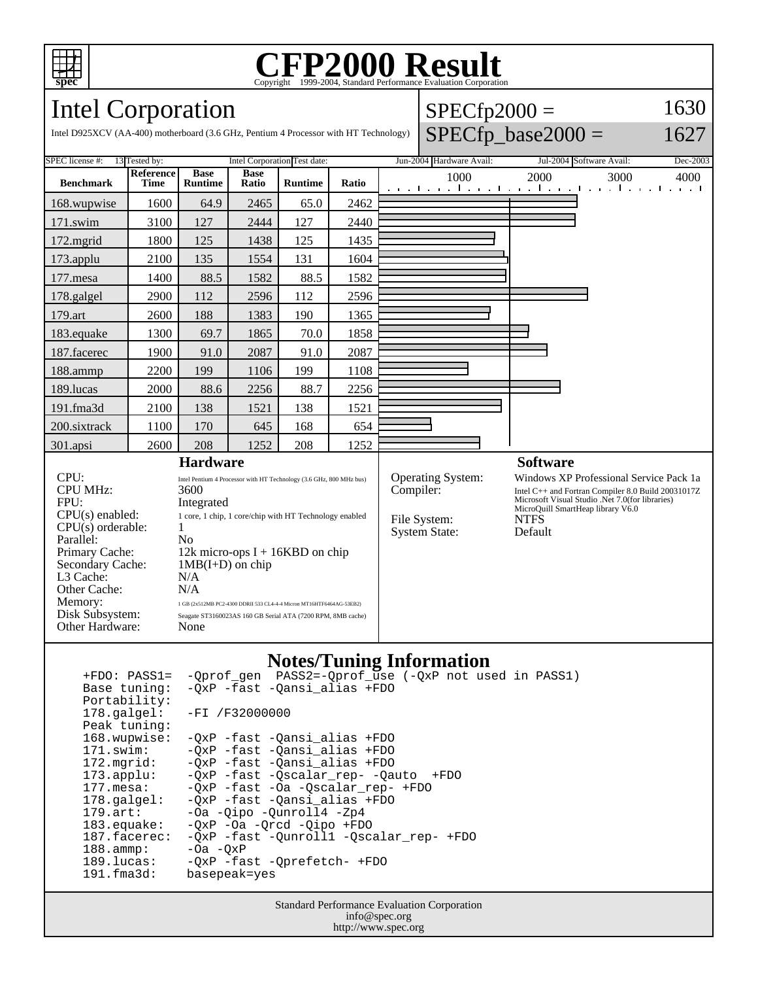

# Copyright ©1999-2004, Standard Performance Evaluation Corporation

#### Intel Corporation Intel D925XCV (AA-400) motherboard (3.6 GHz, Pentium 4 Processor with HT Technology)  $SPECfp2000 =$  $SPECfp\_base2000 =$ 1630 1627 SPEC license #: 13 Tested by: Intel Corporation Test date: Jun-2004 Hardware Avail: Jul-2004 Software Avail: Dec-2003 **Benchmark Reference Time Base Runtime Base Ratio Runtime Ratio** 1000 2000 3000 4000 168.wupwise 1600 64.9 2465 65.0 2462 171.swim | 3100 | 127 | 2444 | 127 | 2440 172.mgrid | 1800 | 125 | 1438 | 125 | 1435 173.applu | 2100 | 135 | 1554 | 131 | 1604 177.mesa | 1400 | 88.5 | 1582 | 88.5 | 1582 178.galgel | 2900 | 112 | 2596 | 112 | 2596 179.art 2600 188 1383 190 1365 183.equake 1300 69.7 1865 70.0 1858 187.facerec | 1900 | 91.0 | 2087 | 91.0 | 2087 188.ammp | 2200 | 199 | 1106 | 199 | 1108 189.lucas | 2000 | 88.6 | 2256 | 88.7 | 2256 191.fma3d | 2100 | 138 | 1521 | 138 | 1521 200.sixtrack 1100 170 645 168 654 301.apsi 2600 208 1252 208 1252 **Hardware** CPU: Intel Pentium 4 Processor with HT Technology (3.6 GHz, 800 MHz bus) CPU MHz: 3600 FPU: Integrated CPU(s) enabled: 1 core, 1 chip, 1 core/chip with HT Technology enabled  $CPU(s)$  orderable:  $1$ Parallel: No Primary Cache: 12k micro-ops I + 16KBD on chip Secondary Cache: 1MB(I+D) on chip L3 Cache: N/A<br>Other Cache: N/A Other Cache: Memory: 1 GB (2x512MB PC2-4300 DDRII 533 CL4-4-4 Micron MT16HTF6464AG-53EB2) Disk Subsystem: Seagate ST3160023AS 160 GB Serial ATA (7200 RPM, 8MB cache) Other Hardware: None **Software** Operating System: Windows XP Professional Service Pack 1a Compiler: Intel C++ and Fortran Compiler 8.0 Build 20031017Z Microsoft Visual Studio .Net 7.0(for libraries) MicroQuill SmartHeap library V6.0 File System: NTFS System State: Default

### **Notes/Tuning Information**

 +FDO: PASS1= -Qprof\_gen PASS2=-Qprof\_use (-QxP not used in PASS1) Base tuning: -QxP -fast -Qansi\_alias +FDO Portability:<br>178.galgel: -FI /F32000000 Peak tuning: 168.wupwise: -QxP -fast -Qansi\_alias +FDO 171.swim: -QxP -fast -Qansi\_alias +FDO 172.mgrid:  $-\overline{Q}xP$  -fast -Qansi\_alias +FDO<br>173.applu: -QxP -fast -Qscalar\_rep- -Qan 173.applu: -QxP -fast -Qscalar\_rep- -Qauto +FDO<br>177.mesa: -QxP -fast -Oa -Qscalar\_rep- +FDO -QxP -fast -Oa -Qscalar\_rep- +FDO 178.galgel: -QxP -fast -Qansi\_alias +FDO -Oa -Qipo -Qunroll4 -Zp4 183.equake: - QxP - Oa - Qrcd - Qipo + FDO<br>187.facerec: - QxP - fast - Qunrolll - Qsc -QxP -fast -Qunroll1 -Qscalar\_rep- +FDO  $188.\text{amp}: \qquad -\text{Oa } -\text{QxP}$ 189.lucas: - QxP -fast - Qprefetch- +FDO<br>191.fma3d: basepeak=yes basepeak=yes

> Standard Performance Evaluation Corporation info@spec.org http://www.spec.org